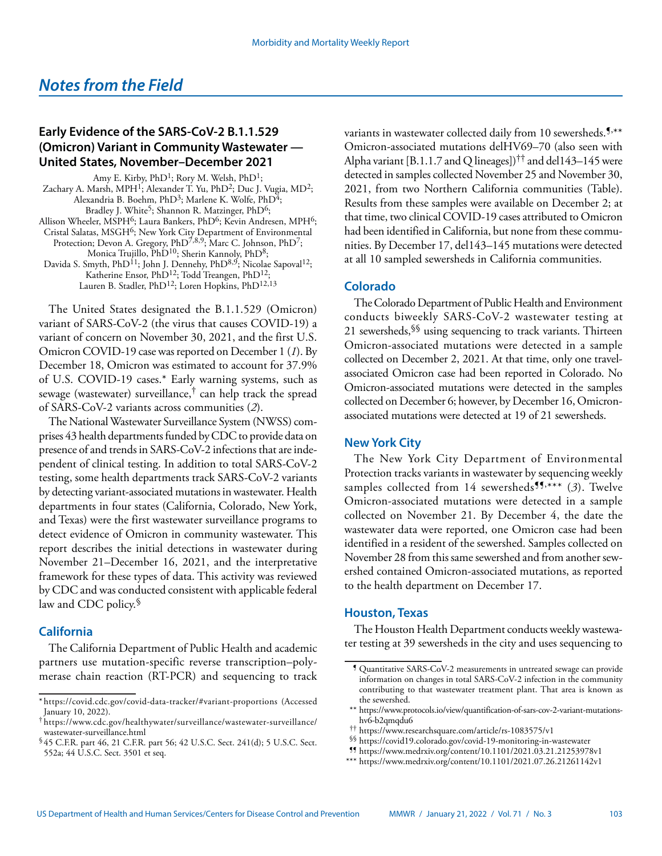# **Early Evidence of the SARS-CoV-2 B.1.1.529 (Omicron) Variant in Community Wastewater — United States, November–December 2021**

Amy E. Kirby, PhD<sup>1</sup>; Rory M. Welsh, PhD<sup>1</sup>; Zachary A. Marsh, MPH<sup>1</sup>; Alexander T. Yu, PhD<sup>2</sup>; Duc J. Vugia, MD<sup>2</sup>; Alexandria B. Boehm, PhD<sup>3</sup>; Marlene K. Wolfe, PhD<sup>4</sup>; Bradley J. White<sup>5</sup>; Shannon R. Matzinger, PhD<sup>6</sup>; Allison Wheeler, MSPH<sup>6</sup>; Laura Bankers, PhD<sup>6</sup>; Kevin Andresen, MPH<sup>6</sup>; Cristal Salatas, MSGH6; New York City Department of Environmental Protection; Devon A. Gregory, PhD<sup>7,8,9</sup>; Marc C. Johnson, PhD<sup>7</sup>; Monica Trujillo, PhD<sup>10</sup>; Sherin Kannoly, PhD<sup>8</sup>; Davida S. Smyth, PhD<sup>11</sup>; John J. Dennehy, PhD<sup>8,9</sup>; Nicolae Sapoval<sup>12</sup>; Katherine Ensor, PhD12; Todd Treangen, PhD12; Lauren B. Stadler, PhD<sup>12</sup>; Loren Hopkins, PhD<sup>12,13</sup>

The United States designated the B.1.1.529 (Omicron) variant of SARS-CoV-2 (the virus that causes COVID-19) a variant of concern on November 30, 2021, and the first U.S. Omicron COVID-19 case was reported on December 1 (*1*). By December 18, Omicron was estimated to account for 37.9% of U.S. COVID-19 cases.\* Early warning systems, such as sewage (wastewater) surveillance,† can help track the spread of SARS-CoV-2 variants across communities (*2*).

The National Wastewater Surveillance System (NWSS) comprises 43 health departments funded by CDC to provide data on presence of and trends in SARS-CoV-2 infections that are independent of clinical testing. In addition to total SARS-CoV-2 testing, some health departments track SARS-CoV-2 variants by detecting variant-associated mutations in wastewater. Health departments in four states (California, Colorado, New York, and Texas) were the first wastewater surveillance programs to detect evidence of Omicron in community wastewater. This report describes the initial detections in wastewater during November 21–December 16, 2021, and the interpretative framework for these types of data. This activity was reviewed by CDC and was conducted consistent with applicable federal law and CDC policy.§

## **California**

The California Department of Public Health and academic partners use mutation-specific reverse transcription–polymerase chain reaction (RT-PCR) and sequencing to track variants in wastewater collected daily from 10 sewersheds.<sup>5,\*\*</sup> Omicron-associated mutations delHV69–70 (also seen with Alpha variant [B.1.1.7 and Q lineages])<sup> $\dagger\ddagger$ </sup> and del143–145 were detected in samples collected November 25 and November 30, 2021, from two Northern California communities (Table). Results from these samples were available on December 2; at that time, two clinical COVID-19 cases attributed to Omicron had been identified in California, but none from these communities. By December 17, del143–145 mutations were detected at all 10 sampled sewersheds in California communities.

# **Colorado**

The Colorado Department of Public Health and Environment conducts biweekly SARS-CoV-2 wastewater testing at 21 sewersheds,  $\frac{1}{5}$  using sequencing to track variants. Thirteen Omicron-associated mutations were detected in a sample collected on December 2, 2021. At that time, only one travelassociated Omicron case had been reported in Colorado. No Omicron-associated mutations were detected in the samples collected on December 6; however, by December 16, Omicronassociated mutations were detected at 19 of 21 sewersheds.

### **New York City**

The New York City Department of Environmental Protection tracks variants in wastewater by sequencing weekly samples collected from 14 sewersheds<sup>55,\*\*\*</sup> (3). Twelve Omicron-associated mutations were detected in a sample collected on November 21. By December 4, the date the wastewater data were reported, one Omicron case had been identified in a resident of the sewershed. Samples collected on November 28 from this same sewershed and from another sewershed contained Omicron-associated mutations, as reported to the health department on December 17.

### **Houston, Texas**

The Houston Health Department conducts weekly wastewater testing at 39 sewersheds in the city and uses sequencing to

<sup>\*</sup> <https://covid.cdc.gov/covid-data-tracker/#variant-proportions>(Accessed January 10, 2022).

<sup>†</sup> [https://www.cdc.gov/healthywater/surveillance/wastewater-surveillance/](https://www.cdc.gov/healthywater/surveillance/wastewater-surveillance/wastewater-surveillance.html) [wastewater-surveillance.html](https://www.cdc.gov/healthywater/surveillance/wastewater-surveillance/wastewater-surveillance.html)

<sup>§</sup> 45 C.F.R. part 46, 21 C.F.R. part 56; 42 U.S.C. Sect. 241(d); 5 U.S.C. Sect. 552a; 44 U.S.C. Sect. 3501 et seq.

<sup>¶</sup> Quantitative SARS-CoV-2 measurements in untreated sewage can provide information on changes in total SARS-CoV-2 infection in the community contributing to that wastewater treatment plant. That area is known as the sewershed.

<sup>\*\*</sup> [https://www.protocols.io/view/quantification-of-sars-cov-2-variant-mutations](https://www.protocols.io/view/quantification-of-sars-cov-2-variant-mutations-hv6-b2qmqdu6)[hv6-b2qmqdu6](https://www.protocols.io/view/quantification-of-sars-cov-2-variant-mutations-hv6-b2qmqdu6)

<sup>††</sup> <https://www.researchsquare.com/article/rs-1083575/v1>

<sup>§§</sup> <https://covid19.colorado.gov/covid-19-monitoring-in-wastewater>

<sup>¶¶</sup> <https://www.medrxiv.org/content/10.1101/2021.03.21.21253978v1>

<sup>\*\*\*</sup> <https://www.medrxiv.org/content/10.1101/2021.07.26.21261142v1>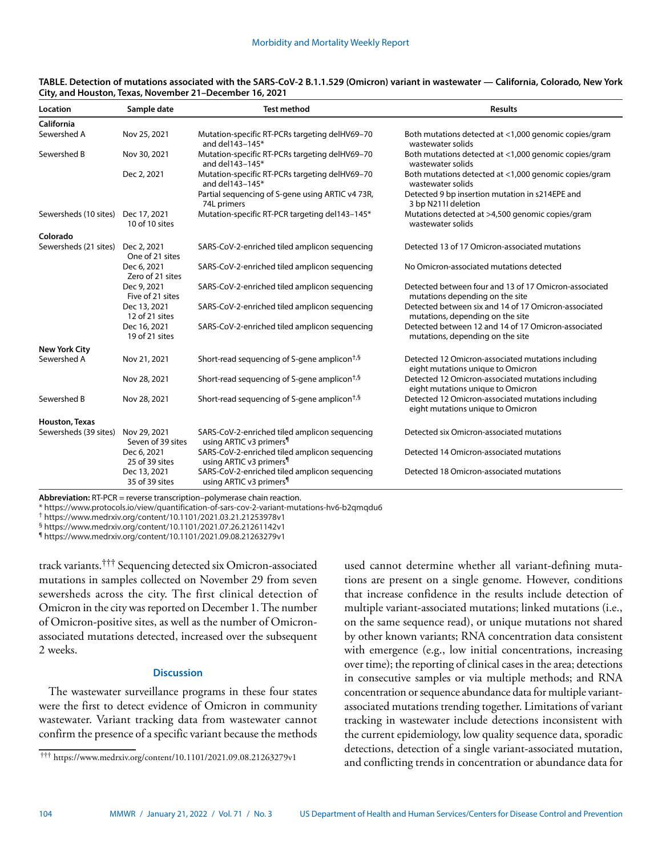| Location              | Sample date                       | <b>Test method</b>                                                                   | <b>Results</b>                                                                           |
|-----------------------|-----------------------------------|--------------------------------------------------------------------------------------|------------------------------------------------------------------------------------------|
| California            |                                   |                                                                                      |                                                                                          |
| Sewershed A           | Nov 25, 2021                      | Mutation-specific RT-PCRs targeting delHV69-70<br>and $del143 - 145*$                | Both mutations detected at <1,000 genomic copies/gram<br>wastewater solids               |
| Sewershed B           | Nov 30, 2021                      | Mutation-specific RT-PCRs targeting delHV69-70<br>and del143-145*                    | Both mutations detected at <1,000 genomic copies/gram<br>wastewater solids               |
|                       | Dec 2, 2021                       | Mutation-specific RT-PCRs targeting delHV69-70<br>and del143-145*                    | Both mutations detected at <1,000 genomic copies/gram<br>wastewater solids               |
|                       |                                   | Partial sequencing of S-gene using ARTIC v4 73R,<br>74L primers                      | Detected 9 bp insertion mutation in s214EPE and<br>3 bp N211I deletion                   |
| Sewersheds (10 sites) | Dec 17, 2021<br>10 of 10 sites    | Mutation-specific RT-PCR targeting del143-145*                                       | Mutations detected at >4,500 genomic copies/gram<br>wastewater solids                    |
| Colorado              |                                   |                                                                                      |                                                                                          |
| Sewersheds (21 sites) | Dec 2, 2021<br>One of 21 sites    | SARS-CoV-2-enriched tiled amplicon sequencing                                        | Detected 13 of 17 Omicron-associated mutations                                           |
|                       | Dec 6, 2021<br>Zero of 21 sites   | SARS-CoV-2-enriched tiled amplicon sequencing                                        | No Omicron-associated mutations detected                                                 |
|                       | Dec 9, 2021<br>Five of 21 sites   | SARS-CoV-2-enriched tiled amplicon sequencing                                        | Detected between four and 13 of 17 Omicron-associated<br>mutations depending on the site |
|                       | Dec 13, 2021<br>12 of 21 sites    | SARS-CoV-2-enriched tiled amplicon sequencing                                        | Detected between six and 14 of 17 Omicron-associated<br>mutations, depending on the site |
|                       | Dec 16, 2021<br>19 of 21 sites    | SARS-CoV-2-enriched tiled amplicon sequencing                                        | Detected between 12 and 14 of 17 Omicron-associated<br>mutations, depending on the site  |
| <b>New York City</b>  |                                   |                                                                                      |                                                                                          |
| Sewershed A           | Nov 21, 2021                      | Short-read sequencing of S-gene amplicon <sup>†,§</sup>                              | Detected 12 Omicron-associated mutations including<br>eight mutations unique to Omicron  |
|                       | Nov 28, 2021                      | Short-read sequencing of S-gene amplicon <sup>+,§</sup>                              | Detected 12 Omicron-associated mutations including<br>eight mutations unique to Omicron  |
| Sewershed B           | Nov 28, 2021                      | Short-read sequencing of S-gene amplicon <sup>†,§</sup>                              | Detected 12 Omicron-associated mutations including<br>eight mutations unique to Omicron  |
| Houston, Texas        |                                   |                                                                                      |                                                                                          |
| Sewersheds (39 sites) | Nov 29, 2021<br>Seven of 39 sites | SARS-CoV-2-enriched tiled amplicon sequencing<br>using ARTIC v3 primers <sup>1</sup> | Detected six Omicron-associated mutations                                                |
|                       | Dec 6, 2021<br>25 of 39 sites     | SARS-CoV-2-enriched tiled amplicon sequencing<br>using ARTIC v3 primers <sup>1</sup> | Detected 14 Omicron-associated mutations                                                 |
|                       | Dec 13, 2021<br>35 of 39 sites    | SARS-CoV-2-enriched tiled amplicon sequencing<br>using ARTIC v3 primers <sup>1</sup> | Detected 18 Omicron-associated mutations                                                 |

#### **TABLE. Detection of mutations associated with the SARS-CoV-2 B.1.1.529 (Omicron) variant in wastewater — California, Colorado, New York City, and Houston, Texas, November 21–December 16, 2021**

**Abbreviation:** RT-PCR = reverse transcription–polymerase chain reaction.

\* <https://www.protocols.io/view/quantification-of-sars-cov-2-variant-mutations-hv6-b2qmqdu6>

† <https://www.medrxiv.org/content/10.1101/2021.03.21.21253978v1>

§ <https://www.medrxiv.org/content/10.1101/2021.07.26.21261142v1>

¶ <https://www.medrxiv.org/content/10.1101/2021.09.08.21263279v1>

track variants.††† Sequencing detected six Omicron-associated mutations in samples collected on November 29 from seven sewersheds across the city. The first clinical detection of Omicron in the city was reported on December 1. The number of Omicron-positive sites, as well as the number of Omicronassociated mutations detected, increased over the subsequent 2 weeks.

#### **Discussion**

The wastewater surveillance programs in these four states were the first to detect evidence of Omicron in community wastewater. Variant tracking data from wastewater cannot confirm the presence of a specific variant because the methods used cannot determine whether all variant-defining mutations are present on a single genome. However, conditions that increase confidence in the results include detection of multiple variant-associated mutations; linked mutations (i.e., on the same sequence read), or unique mutations not shared by other known variants; RNA concentration data consistent with emergence (e.g., low initial concentrations, increasing over time); the reporting of clinical cases in the area; detections in consecutive samples or via multiple methods; and RNA concentration or sequence abundance data for multiple variantassociated mutations trending together. Limitations of variant tracking in wastewater include detections inconsistent with the current epidemiology, low quality sequence data, sporadic detections, detection of a single variant-associated mutation, and conflicting trends in concentration or abundance data for

<sup>†††</sup> <https://www.medrxiv.org/content/10.1101/2021.09.08.21263279v1>